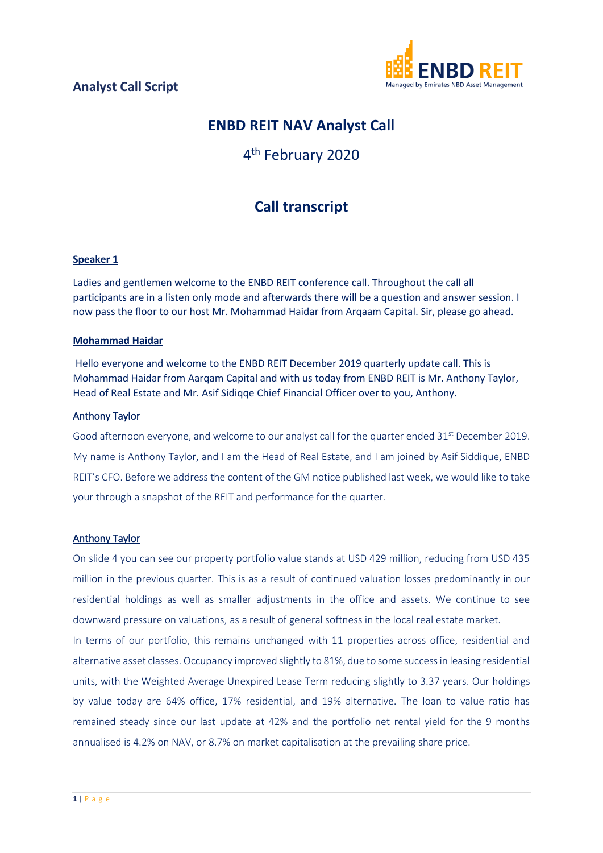

# **ENBD REIT NAV Analyst Call**

# 4<sup>th</sup> February 2020

# **Call transcript**

#### **Speaker 1**

Ladies and gentlemen welcome to the ENBD REIT conference call. Throughout the call all participants are in a listen only mode and afterwards there will be a question and answer session. I now pass the floor to our host Mr. Mohammad Haidar from Arqaam Capital. Sir, please go ahead.

#### **Mohammad Haidar**

Hello everyone and welcome to the ENBD REIT December 2019 quarterly update call. This is Mohammad Haidar from Aarqam Capital and with us today from ENBD REIT is Mr. Anthony Taylor, Head of Real Estate and Mr. Asif Sidiqqe Chief Financial Officer over to you, Anthony.

#### Anthony Taylor

Good afternoon everyone, and welcome to our analyst call for the quarter ended 31<sup>st</sup> December 2019. My name is Anthony Taylor, and I am the Head of Real Estate, and I am joined by Asif Siddique, ENBD REIT's CFO. Before we address the content of the GM notice published last week, we would like to take your through a snapshot of the REIT and performance for the quarter.

#### Anthony Taylor

On slide 4 you can see our property portfolio value stands at USD 429 million, reducing from USD 435 million in the previous quarter. This is as a result of continued valuation losses predominantly in our residential holdings as well as smaller adjustments in the office and assets. We continue to see downward pressure on valuations, as a result of general softness in the local real estate market.

In terms of our portfolio, this remains unchanged with 11 properties across office, residential and alternative asset classes. Occupancy improved slightly to 81%, due to some success in leasing residential units, with the Weighted Average Unexpired Lease Term reducing slightly to 3.37 years. Our holdings by value today are 64% office, 17% residential, and 19% alternative. The loan to value ratio has remained steady since our last update at 42% and the portfolio net rental yield for the 9 months annualised is 4.2% on NAV, or 8.7% on market capitalisation at the prevailing share price.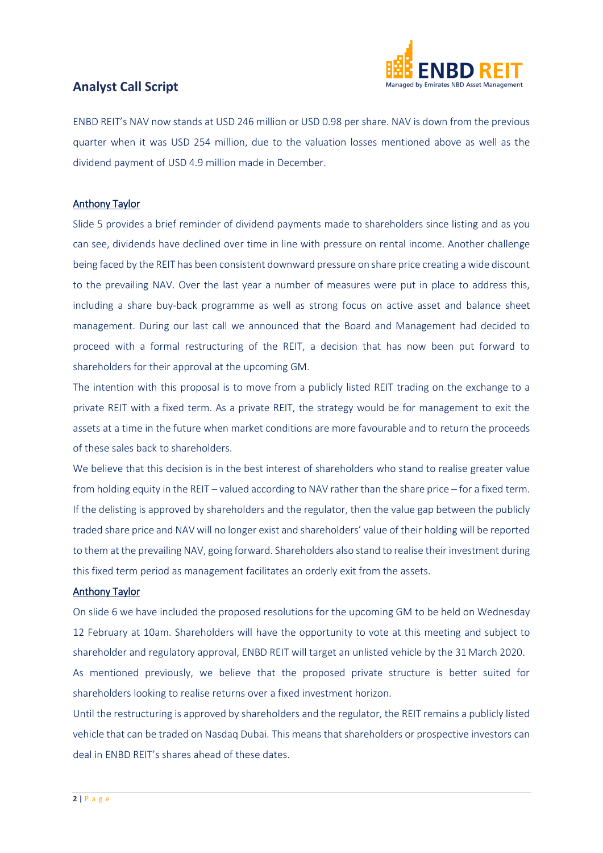

ENBD REIT's NAV now stands at USD 246 million or USD 0.98 per share. NAV is down from the previous quarter when it was USD 254 million, due to the valuation losses mentioned above as well as the dividend payment of USD 4.9 million made in December.

#### Anthony Taylor

Slide 5 provides a brief reminder of dividend payments made to shareholders since listing and as you can see, dividends have declined over time in line with pressure on rental income. Another challenge being faced by the REIT has been consistent downward pressure on share price creating a wide discount to the prevailing NAV. Over the last year a number of measures were put in place to address this, including a share buy-back programme as well as strong focus on active asset and balance sheet management. During our last call we announced that the Board and Management had decided to proceed with a formal restructuring of the REIT, a decision that has now been put forward to shareholders for their approval at the upcoming GM.

The intention with this proposal is to move from a publicly listed REIT trading on the exchange to a private REIT with a fixed term. As a private REIT, the strategy would be for management to exit the assets at a time in the future when market conditions are more favourable and to return the proceeds of these sales back to shareholders.

We believe that this decision is in the best interest of shareholders who stand to realise greater value from holding equity in the REIT – valued according to NAV rather than the share price – for a fixed term. If the delisting is approved by shareholders and the regulator, then the value gap between the publicly traded share price and NAV will no longer exist and shareholders' value of their holding will be reported to them at the prevailing NAV, going forward. Shareholders also stand to realise their investment during this fixed term period as management facilitates an orderly exit from the assets.

#### Anthony Taylor

On slide 6 we have included the proposed resolutions for the upcoming GM to be held on Wednesday 12 February at 10am. Shareholders will have the opportunity to vote at this meeting and subject to shareholder and regulatory approval, ENBD REIT will target an unlisted vehicle by the 31 March 2020.

As mentioned previously, we believe that the proposed private structure is better suited for shareholders looking to realise returns over a fixed investment horizon.

Until the restructuring is approved by shareholders and the regulator, the REIT remains a publicly listed vehicle that can be traded on Nasdaq Dubai. This means that shareholders or prospective investors can deal in ENBD REIT's shares ahead of these dates.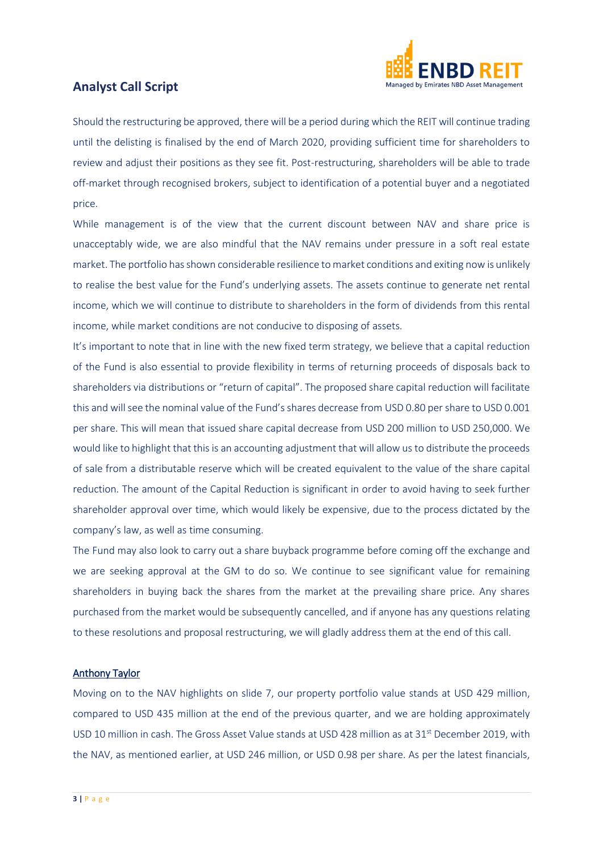

Should the restructuring be approved, there will be a period during which the REIT will continue trading until the delisting is finalised by the end of March 2020, providing sufficient time for shareholders to review and adjust their positions as they see fit. Post-restructuring, shareholders will be able to trade off-market through recognised brokers, subject to identification of a potential buyer and a negotiated price.

While management is of the view that the current discount between NAV and share price is unacceptably wide, we are also mindful that the NAV remains under pressure in a soft real estate market. The portfolio has shown considerable resilience to market conditions and exiting now is unlikely to realise the best value for the Fund's underlying assets. The assets continue to generate net rental income, which we will continue to distribute to shareholders in the form of dividends from this rental income, while market conditions are not conducive to disposing of assets.

It's important to note that in line with the new fixed term strategy, we believe that a capital reduction of the Fund is also essential to provide flexibility in terms of returning proceeds of disposals back to shareholders via distributions or "return of capital". The proposed share capital reduction will facilitate this and will see the nominal value of the Fund's shares decrease from USD 0.80 per share to USD 0.001 per share. This will mean that issued share capital decrease from USD 200 million to USD 250,000. We would like to highlight that this is an accounting adjustment that will allow us to distribute the proceeds of sale from a distributable reserve which will be created equivalent to the value of the share capital reduction. The amount of the Capital Reduction is significant in order to avoid having to seek further shareholder approval over time, which would likely be expensive, due to the process dictated by the company's law, as well as time consuming.

The Fund may also look to carry out a share buyback programme before coming off the exchange and we are seeking approval at the GM to do so. We continue to see significant value for remaining shareholders in buying back the shares from the market at the prevailing share price. Any shares purchased from the market would be subsequently cancelled, and if anyone has any questions relating to these resolutions and proposal restructuring, we will gladly address them at the end of this call.

#### Anthony Taylor

Moving on to the NAV highlights on slide 7, our property portfolio value stands at USD 429 million, compared to USD 435 million at the end of the previous quarter, and we are holding approximately USD 10 million in cash. The Gross Asset Value stands at USD 428 million as at 31<sup>st</sup> December 2019, with the NAV, as mentioned earlier, at USD 246 million, or USD 0.98 per share. As per the latest financials,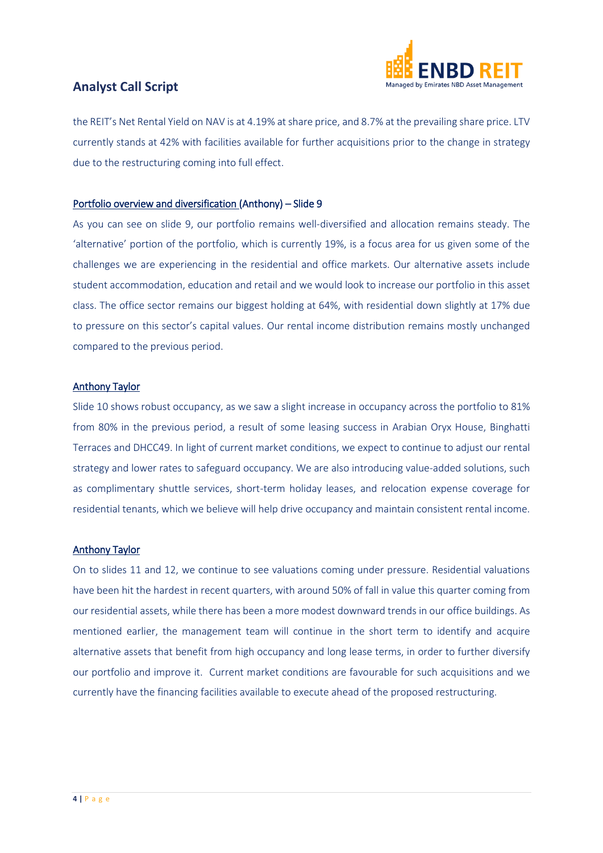

the REIT's Net Rental Yield on NAV is at 4.19% at share price, and 8.7% at the prevailing share price. LTV currently stands at 42% with facilities available for further acquisitions prior to the change in strategy due to the restructuring coming into full effect.

#### Portfolio overview and diversification (Anthony) – Slide 9

As you can see on slide 9, our portfolio remains well-diversified and allocation remains steady. The 'alternative' portion of the portfolio, which is currently 19%, is a focus area for us given some of the challenges we are experiencing in the residential and office markets. Our alternative assets include student accommodation, education and retail and we would look to increase our portfolio in this asset class. The office sector remains our biggest holding at 64%, with residential down slightly at 17% due to pressure on this sector's capital values. Our rental income distribution remains mostly unchanged compared to the previous period.

#### Anthony Taylor

Slide 10 shows robust occupancy, as we saw a slight increase in occupancy across the portfolio to 81% from 80% in the previous period, a result of some leasing success in Arabian Oryx House, Binghatti Terraces and DHCC49. In light of current market conditions, we expect to continue to adjust our rental strategy and lower rates to safeguard occupancy. We are also introducing value-added solutions, such as complimentary shuttle services, short-term holiday leases, and relocation expense coverage for residential tenants, which we believe will help drive occupancy and maintain consistent rental income.

#### Anthony Taylor

On to slides 11 and 12, we continue to see valuations coming under pressure. Residential valuations have been hit the hardest in recent quarters, with around 50% of fall in value this quarter coming from our residential assets, while there has been a more modest downward trends in our office buildings. As mentioned earlier, the management team will continue in the short term to identify and acquire alternative assets that benefit from high occupancy and long lease terms, in order to further diversify our portfolio and improve it. Current market conditions are favourable for such acquisitions and we currently have the financing facilities available to execute ahead of the proposed restructuring.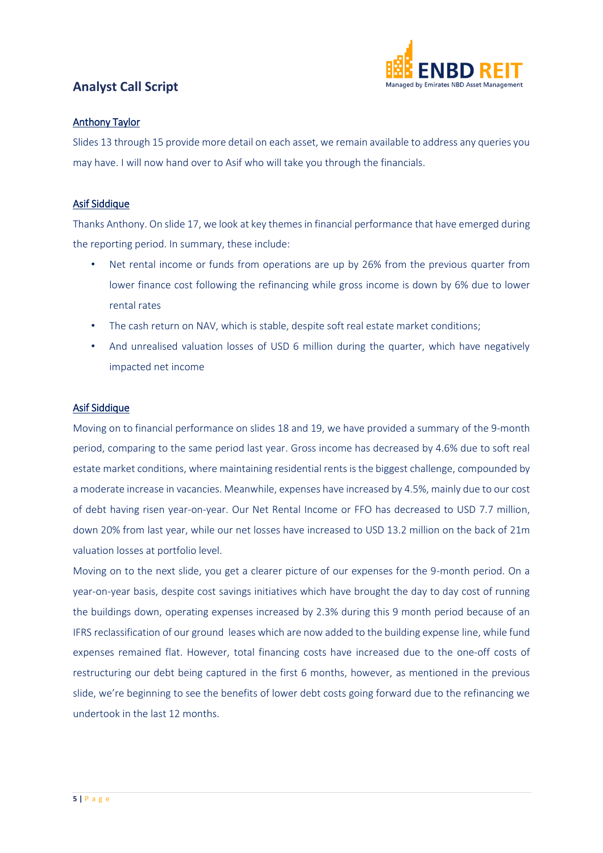

#### Anthony Taylor

Slides 13 through 15 provide more detail on each asset, we remain available to address any queries you may have. I will now hand over to Asif who will take you through the financials.

#### Asif Siddique

Thanks Anthony. On slide 17, we look at key themes in financial performance that have emerged during the reporting period. In summary, these include:

- Net rental income or funds from operations are up by 26% from the previous quarter from lower finance cost following the refinancing while gross income is down by 6% due to lower rental rates
- The cash return on NAV, which is stable, despite soft real estate market conditions;
- And unrealised valuation losses of USD 6 million during the quarter, which have negatively impacted net income

#### Asif Siddique

Moving on to financial performance on slides 18 and 19, we have provided a summary of the 9-month period, comparing to the same period last year. Gross income has decreased by 4.6% due to soft real estate market conditions, where maintaining residential rents is the biggest challenge, compounded by a moderate increase in vacancies. Meanwhile, expenses have increased by 4.5%, mainly due to our cost of debt having risen year-on-year. Our Net Rental Income or FFO has decreased to USD 7.7 million, down 20% from last year, while our net losses have increased to USD 13.2 million on the back of 21m valuation losses at portfolio level.

Moving on to the next slide, you get a clearer picture of our expenses for the 9-month period. On a year-on-year basis, despite cost savings initiatives which have brought the day to day cost of running the buildings down, operating expenses increased by 2.3% during this 9 month period because of an IFRS reclassification of our ground leases which are now added to the building expense line, while fund expenses remained flat. However, total financing costs have increased due to the one-off costs of restructuring our debt being captured in the first 6 months, however, as mentioned in the previous slide, we're beginning to see the benefits of lower debt costs going forward due to the refinancing we undertook in the last 12 months.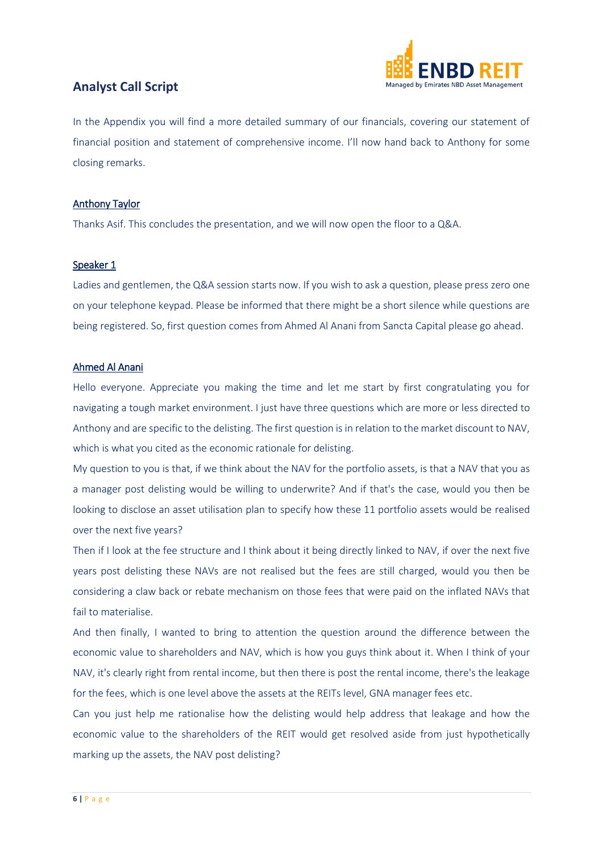

In the Appendix you will find a more detailed summary of our financials, covering our statement of financial position and statement of comprehensive income. I'll now hand back to Anthony for some closing remarks.

#### Anthony Taylor

Thanks Asif. This concludes the presentation, and we will now open the floor to a Q&A.

#### Speaker 1

Ladies and gentlemen, the Q&A session starts now. If you wish to ask a question, please press zero one on your telephone keypad. Please be informed that there might be a short silence while questions are being registered. So, first question comes from Ahmed Al Anani from Sancta Capital please go ahead.

#### Ahmed Al Anani

Hello everyone. Appreciate you making the time and let me start by first congratulating you for navigating a tough market environment. I just have three questions which are more or less directed to Anthony and are specific to the delisting. The first question is in relation to the market discount to NAV, which is what you cited as the economic rationale for delisting.

My question to you is that, if we think about the NAV for the portfolio assets, is that a NAV that you as a manager post delisting would be willing to underwrite? And if that's the case, would you then be looking to disclose an asset utilisation plan to specify how these 11 portfolio assets would be realised over the next five years?

Then if I look at the fee structure and I think about it being directly linked to NAV, if over the next five years post delisting these NAVs are not realised but the fees are still charged, would you then be considering a claw back or rebate mechanism on those fees that were paid on the inflated NAVs that fail to materialise.

And then finally, I wanted to bring to attention the question around the difference between the economic value to shareholders and NAV, which is how you guys think about it. When I think of your NAV, it's clearly right from rental income, but then there is post the rental income, there's the leakage for the fees, which is one level above the assets at the REITs level, GNA manager fees etc.

Can you just help me rationalise how the delisting would help address that leakage and how the economic value to the shareholders of the REIT would get resolved aside from just hypothetically marking up the assets, the NAV post delisting?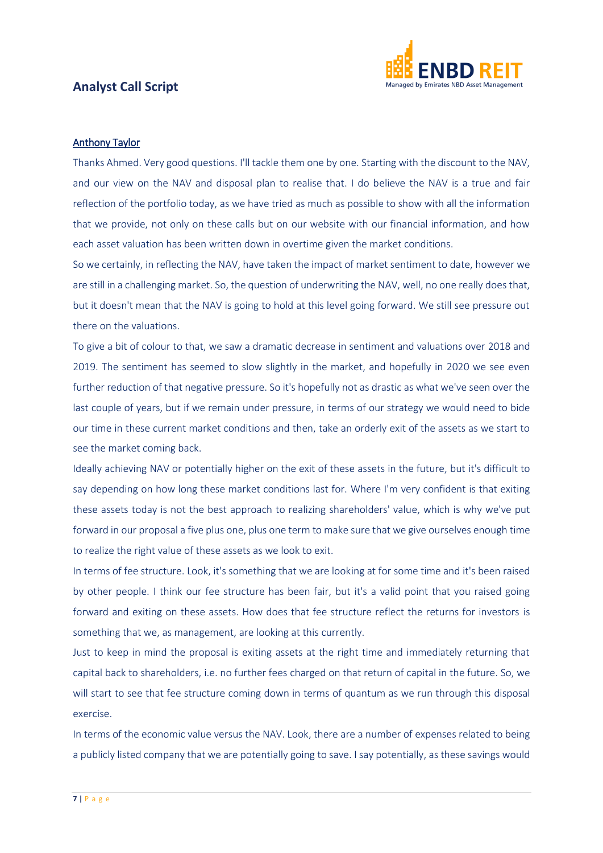

#### Anthony Taylor

Thanks Ahmed. Very good questions. I'll tackle them one by one. Starting with the discount to the NAV, and our view on the NAV and disposal plan to realise that. I do believe the NAV is a true and fair reflection of the portfolio today, as we have tried as much as possible to show with all the information that we provide, not only on these calls but on our website with our financial information, and how each asset valuation has been written down in overtime given the market conditions.

So we certainly, in reflecting the NAV, have taken the impact of market sentiment to date, however we are still in a challenging market. So, the question of underwriting the NAV, well, no one really does that, but it doesn't mean that the NAV is going to hold at this level going forward. We still see pressure out there on the valuations.

To give a bit of colour to that, we saw a dramatic decrease in sentiment and valuations over 2018 and 2019. The sentiment has seemed to slow slightly in the market, and hopefully in 2020 we see even further reduction of that negative pressure. So it's hopefully not as drastic as what we've seen over the last couple of years, but if we remain under pressure, in terms of our strategy we would need to bide our time in these current market conditions and then, take an orderly exit of the assets as we start to see the market coming back.

Ideally achieving NAV or potentially higher on the exit of these assets in the future, but it's difficult to say depending on how long these market conditions last for. Where I'm very confident is that exiting these assets today is not the best approach to realizing shareholders' value, which is why we've put forward in our proposal a five plus one, plus one term to make sure that we give ourselves enough time to realize the right value of these assets as we look to exit.

In terms of fee structure. Look, it's something that we are looking at for some time and it's been raised by other people. I think our fee structure has been fair, but it's a valid point that you raised going forward and exiting on these assets. How does that fee structure reflect the returns for investors is something that we, as management, are looking at this currently.

Just to keep in mind the proposal is exiting assets at the right time and immediately returning that capital back to shareholders, i.e. no further fees charged on that return of capital in the future. So, we will start to see that fee structure coming down in terms of quantum as we run through this disposal exercise.

In terms of the economic value versus the NAV. Look, there are a number of expenses related to being a publicly listed company that we are potentially going to save. I say potentially, as these savings would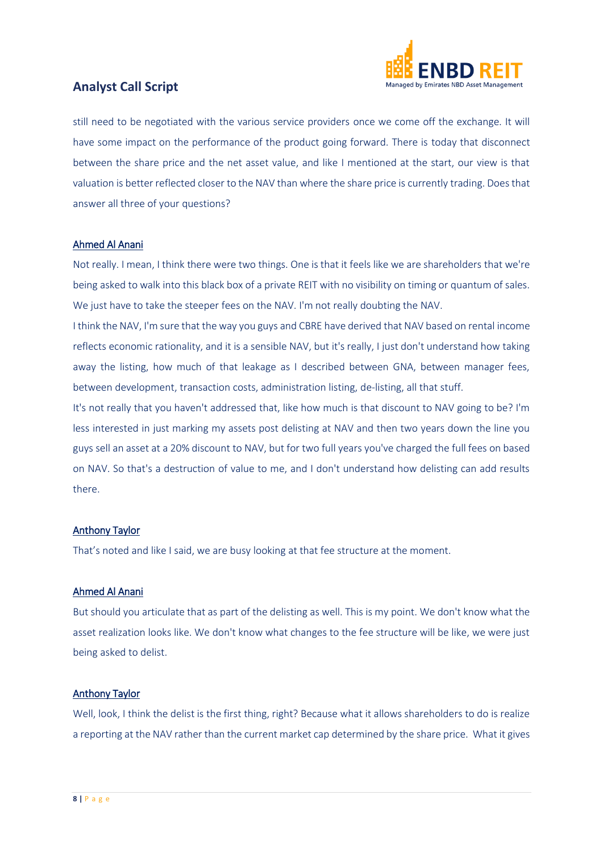

still need to be negotiated with the various service providers once we come off the exchange. It will have some impact on the performance of the product going forward. There is today that disconnect between the share price and the net asset value, and like I mentioned at the start, our view is that valuation is better reflected closer to the NAV than where the share price is currently trading. Does that answer all three of your questions?

#### Ahmed Al Anani

Not really. I mean, I think there were two things. One is that it feels like we are shareholders that we're being asked to walk into this black box of a private REIT with no visibility on timing or quantum of sales. We just have to take the steeper fees on the NAV. I'm not really doubting the NAV.

I think the NAV, I'm sure that the way you guys and CBRE have derived that NAV based on rental income reflects economic rationality, and it is a sensible NAV, but it's really, I just don't understand how taking away the listing, how much of that leakage as I described between GNA, between manager fees, between development, transaction costs, administration listing, de-listing, all that stuff.

It's not really that you haven't addressed that, like how much is that discount to NAV going to be? I'm less interested in just marking my assets post delisting at NAV and then two years down the line you guys sell an asset at a 20% discount to NAV, but for two full years you've charged the full fees on based on NAV. So that's a destruction of value to me, and I don't understand how delisting can add results there.

#### Anthony Taylor

That's noted and like I said, we are busy looking at that fee structure at the moment.

#### Ahmed Al Anani

But should you articulate that as part of the delisting as well. This is my point. We don't know what the asset realization looks like. We don't know what changes to the fee structure will be like, we were just being asked to delist.

#### Anthony Taylor

Well, look, I think the delist is the first thing, right? Because what it allows shareholders to do is realize a reporting at the NAV rather than the current market cap determined by the share price. What it gives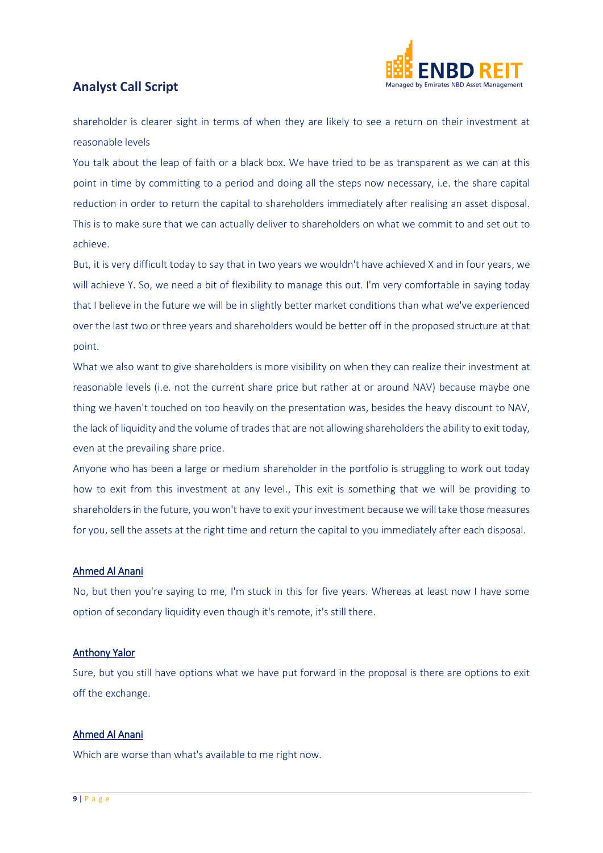

shareholder is clearer sight in terms of when they are likely to see a return on their investment at reasonable levels

You talk about the leap of faith or a black box. We have tried to be as transparent as we can at this point in time by committing to a period and doing all the steps now necessary, i.e. the share capital reduction in order to return the capital to shareholders immediately after realising an asset disposal. This is to make sure that we can actually deliver to shareholders on what we commit to and set out to achieve.

But, it is very difficult today to say that in two years we wouldn't have achieved X and in four years, we will achieve Y. So, we need a bit of flexibility to manage this out. I'm very comfortable in saying today that I believe in the future we will be in slightly better market conditions than what we've experienced over the last two or three years and shareholders would be better off in the proposed structure at that point.

What we also want to give shareholders is more visibility on when they can realize their investment at reasonable levels (i.e. not the current share price but rather at or around NAV) because maybe one thing we haven't touched on too heavily on the presentation was, besides the heavy discount to NAV, the lack of liquidity and the volume of trades that are not allowing shareholders the ability to exit today, even at the prevailing share price.

Anyone who has been a large or medium shareholder in the portfolio is struggling to work out today how to exit from this investment at any level., This exit is something that we will be providing to shareholders in the future, you won't have to exit your investment because we will take those measures for you, sell the assets at the right time and return the capital to you immediately after each disposal.

#### Ahmed Al Anani

No, but then you're saying to me, I'm stuck in this for five years. Whereas at least now I have some option of secondary liquidity even though it's remote, it's still there.

#### Anthony Yalor

Sure, but you still have options what we have put forward in the proposal is there are options to exit off the exchange.

#### Ahmed Al Anani

Which are worse than what's available to me right now.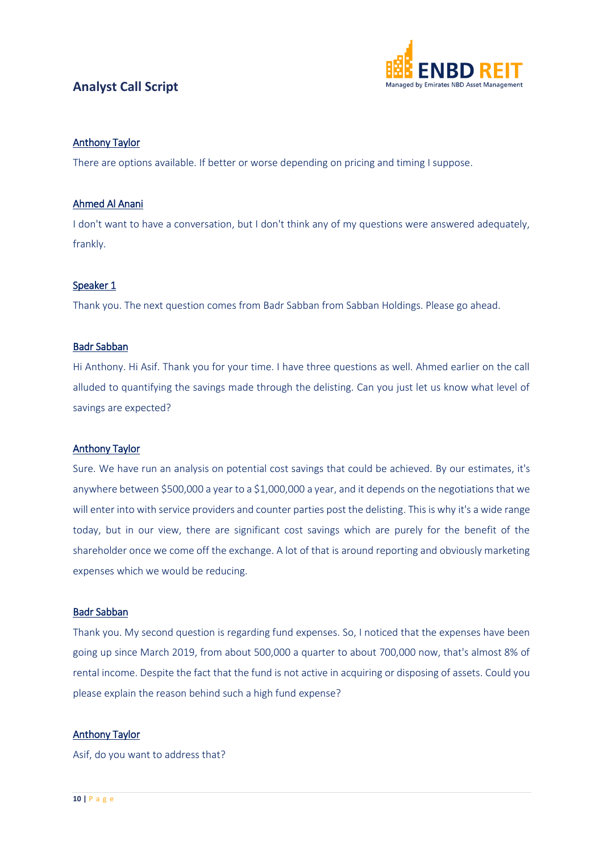

#### Anthony Taylor

There are options available. If better or worse depending on pricing and timing I suppose.

#### Ahmed Al Anani

I don't want to have a conversation, but I don't think any of my questions were answered adequately, frankly.

#### Speaker 1

Thank you. The next question comes from Badr Sabban from Sabban Holdings. Please go ahead.

#### Badr Sabban

Hi Anthony. Hi Asif. Thank you for your time. I have three questions as well. Ahmed earlier on the call alluded to quantifying the savings made through the delisting. Can you just let us know what level of savings are expected?

#### Anthony Taylor

Sure. We have run an analysis on potential cost savings that could be achieved. By our estimates, it's anywhere between \$500,000 a year to a \$1,000,000 a year, and it depends on the negotiations that we will enter into with service providers and counter parties post the delisting. This is why it's a wide range today, but in our view, there are significant cost savings which are purely for the benefit of the shareholder once we come off the exchange. A lot of that is around reporting and obviously marketing expenses which we would be reducing.

#### Badr Sabban

Thank you. My second question is regarding fund expenses. So, I noticed that the expenses have been going up since March 2019, from about 500,000 a quarter to about 700,000 now, that's almost 8% of rental income. Despite the fact that the fund is not active in acquiring or disposing of assets. Could you please explain the reason behind such a high fund expense?

#### Anthony Taylor

Asif, do you want to address that?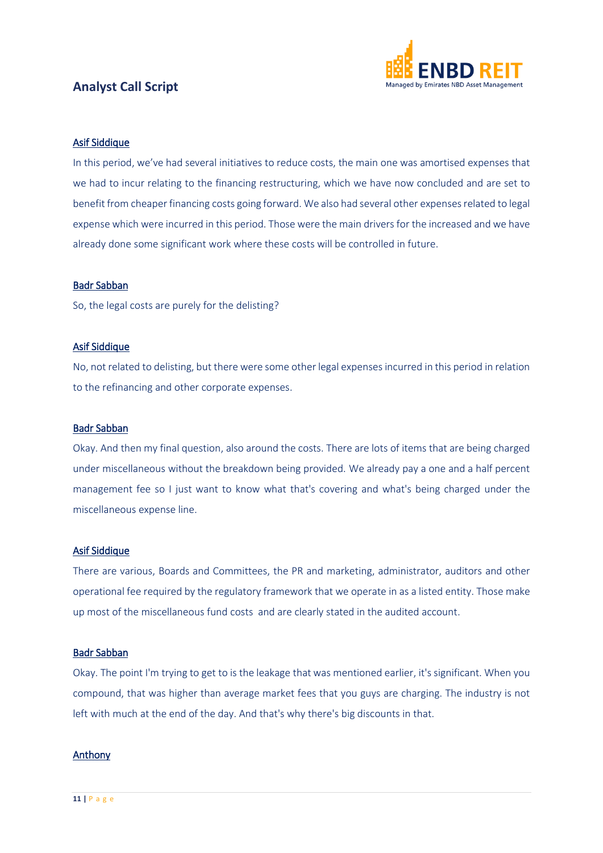

#### Asif Siddique

In this period, we've had several initiatives to reduce costs, the main one was amortised expenses that we had to incur relating to the financing restructuring, which we have now concluded and are set to benefit from cheaper financing costs going forward. We also had several other expenses related to legal expense which were incurred in this period. Those were the main drivers for the increased and we have already done some significant work where these costs will be controlled in future.

#### Badr Sabban

So, the legal costs are purely for the delisting?

#### Asif Siddique

No, not related to delisting, but there were some other legal expenses incurred in this period in relation to the refinancing and other corporate expenses.

#### Badr Sabban

Okay. And then my final question, also around the costs. There are lots of items that are being charged under miscellaneous without the breakdown being provided. We already pay a one and a half percent management fee so I just want to know what that's covering and what's being charged under the miscellaneous expense line.

#### Asif Siddique

There are various, Boards and Committees, the PR and marketing, administrator, auditors and other operational fee required by the regulatory framework that we operate in as a listed entity. Those make up most of the miscellaneous fund costs and are clearly stated in the audited account.

#### Badr Sabban

Okay. The point I'm trying to get to is the leakage that was mentioned earlier, it's significant. When you compound, that was higher than average market fees that you guys are charging. The industry is not left with much at the end of the day. And that's why there's big discounts in that.

#### Anthony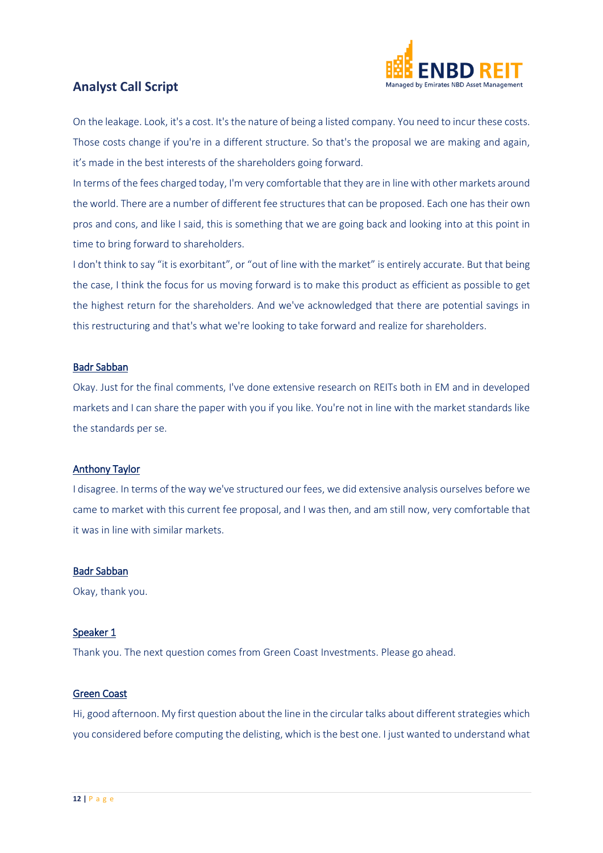

On the leakage. Look, it's a cost. It's the nature of being a listed company. You need to incur these costs. Those costs change if you're in a different structure. So that's the proposal we are making and again, it's made in the best interests of the shareholders going forward.

In terms of the fees charged today, I'm very comfortable that they are in line with other markets around the world. There are a number of different fee structures that can be proposed. Each one has their own pros and cons, and like I said, this is something that we are going back and looking into at this point in time to bring forward to shareholders.

I don't think to say "it is exorbitant", or "out of line with the market" is entirely accurate. But that being the case, I think the focus for us moving forward is to make this product as efficient as possible to get the highest return for the shareholders. And we've acknowledged that there are potential savings in this restructuring and that's what we're looking to take forward and realize for shareholders.

#### Badr Sabban

Okay. Just for the final comments, I've done extensive research on REITs both in EM and in developed markets and I can share the paper with you if you like. You're not in line with the market standards like the standards per se.

#### Anthony Taylor

I disagree. In terms of the way we've structured our fees, we did extensive analysis ourselves before we came to market with this current fee proposal, and I was then, and am still now, very comfortable that it was in line with similar markets.

#### Badr Sabban

Okay, thank you.

#### Speaker 1

Thank you. The next question comes from Green Coast Investments. Please go ahead.

#### Green Coast

Hi, good afternoon. My first question about the line in the circular talks about different strategies which you considered before computing the delisting, which is the best one. I just wanted to understand what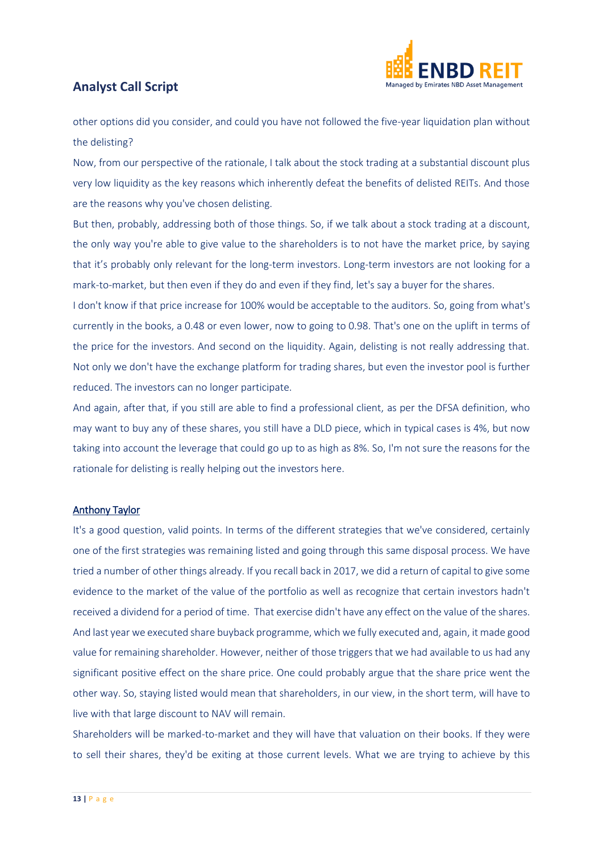

other options did you consider, and could you have not followed the five-year liquidation plan without the delisting?

Now, from our perspective of the rationale, I talk about the stock trading at a substantial discount plus very low liquidity as the key reasons which inherently defeat the benefits of delisted REITs. And those are the reasons why you've chosen delisting.

But then, probably, addressing both of those things. So, if we talk about a stock trading at a discount, the only way you're able to give value to the shareholders is to not have the market price, by saying that it's probably only relevant for the long-term investors. Long-term investors are not looking for a mark-to-market, but then even if they do and even if they find, let's say a buyer for the shares.

I don't know if that price increase for 100% would be acceptable to the auditors. So, going from what's currently in the books, a 0.48 or even lower, now to going to 0.98. That's one on the uplift in terms of the price for the investors. And second on the liquidity. Again, delisting is not really addressing that. Not only we don't have the exchange platform for trading shares, but even the investor pool is further reduced. The investors can no longer participate.

And again, after that, if you still are able to find a professional client, as per the DFSA definition, who may want to buy any of these shares, you still have a DLD piece, which in typical cases is 4%, but now taking into account the leverage that could go up to as high as 8%. So, I'm not sure the reasons for the rationale for delisting is really helping out the investors here.

#### Anthony Taylor

It's a good question, valid points. In terms of the different strategies that we've considered, certainly one of the first strategies was remaining listed and going through this same disposal process. We have tried a number of other things already. If you recall back in 2017, we did a return of capital to give some evidence to the market of the value of the portfolio as well as recognize that certain investors hadn't received a dividend for a period of time. That exercise didn't have any effect on the value of the shares. And last year we executed share buyback programme, which we fully executed and, again, it made good value for remaining shareholder. However, neither of those triggers that we had available to us had any significant positive effect on the share price. One could probably argue that the share price went the other way. So, staying listed would mean that shareholders, in our view, in the short term, will have to live with that large discount to NAV will remain.

Shareholders will be marked-to-market and they will have that valuation on their books. If they were to sell their shares, they'd be exiting at those current levels. What we are trying to achieve by this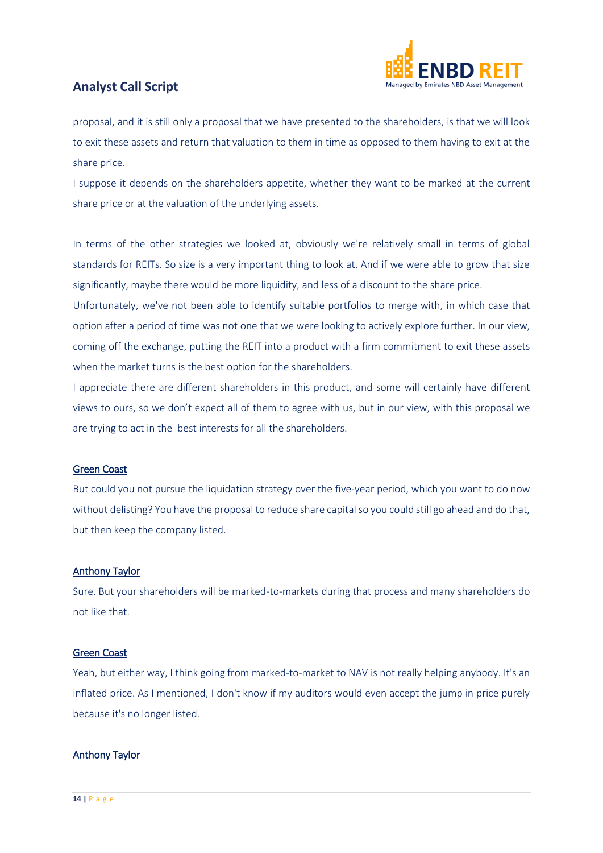

proposal, and it is still only a proposal that we have presented to the shareholders, is that we will look to exit these assets and return that valuation to them in time as opposed to them having to exit at the share price.

I suppose it depends on the shareholders appetite, whether they want to be marked at the current share price or at the valuation of the underlying assets.

In terms of the other strategies we looked at, obviously we're relatively small in terms of global standards for REITs. So size is a very important thing to look at. And if we were able to grow that size significantly, maybe there would be more liquidity, and less of a discount to the share price.

Unfortunately, we've not been able to identify suitable portfolios to merge with, in which case that option after a period of time was not one that we were looking to actively explore further. In our view, coming off the exchange, putting the REIT into a product with a firm commitment to exit these assets when the market turns is the best option for the shareholders.

I appreciate there are different shareholders in this product, and some will certainly have different views to ours, so we don't expect all of them to agree with us, but in our view, with this proposal we are trying to act in the best interests for all the shareholders.

#### Green Coast

But could you not pursue the liquidation strategy over the five-year period, which you want to do now without delisting? You have the proposal to reduce share capital so you could still go ahead and do that, but then keep the company listed.

#### Anthony Taylor

Sure. But your shareholders will be marked-to-markets during that process and many shareholders do not like that.

#### Green Coast

Yeah, but either way, I think going from marked-to-market to NAV is not really helping anybody. It's an inflated price. As I mentioned, I don't know if my auditors would even accept the jump in price purely because it's no longer listed.

#### Anthony Taylor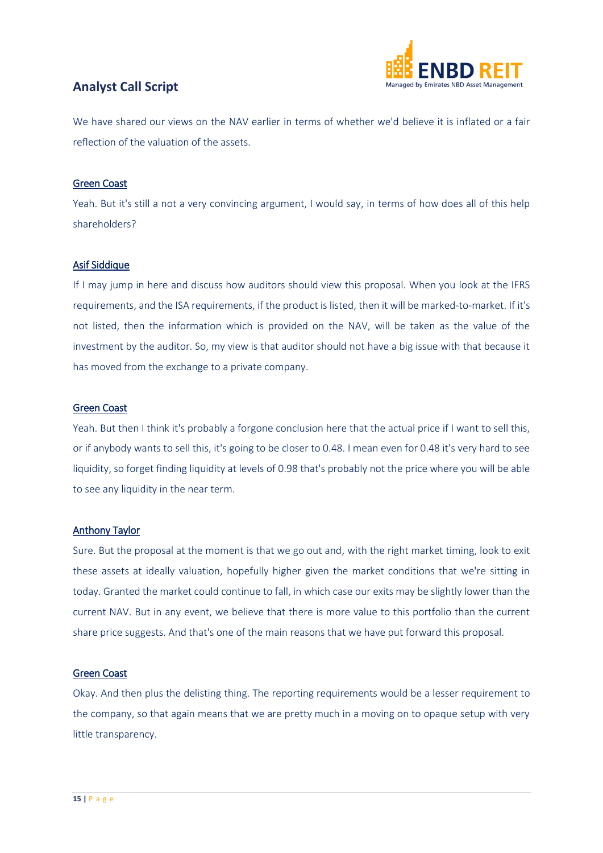

We have shared our views on the NAV earlier in terms of whether we'd believe it is inflated or a fair reflection of the valuation of the assets.

#### Green Coast

Yeah. But it's still a not a very convincing argument, I would say, in terms of how does all of this help shareholders?

#### Asif Siddique

If I may jump in here and discuss how auditors should view this proposal. When you look at the IFRS requirements, and the ISA requirements, if the product is listed, then it will be marked-to-market. If it's not listed, then the information which is provided on the NAV, will be taken as the value of the investment by the auditor. So, my view is that auditor should not have a big issue with that because it has moved from the exchange to a private company.

#### Green Coast

Yeah. But then I think it's probably a forgone conclusion here that the actual price if I want to sell this, or if anybody wants to sell this, it's going to be closer to 0.48. I mean even for 0.48 it's very hard to see liquidity, so forget finding liquidity at levels of 0.98 that's probably not the price where you will be able to see any liquidity in the near term.

#### Anthony Taylor

Sure. But the proposal at the moment is that we go out and, with the right market timing, look to exit these assets at ideally valuation, hopefully higher given the market conditions that we're sitting in today. Granted the market could continue to fall, in which case our exits may be slightly lower than the current NAV. But in any event, we believe that there is more value to this portfolio than the current share price suggests. And that's one of the main reasons that we have put forward this proposal.

#### Green Coast

Okay. And then plus the delisting thing. The reporting requirements would be a lesser requirement to the company, so that again means that we are pretty much in a moving on to opaque setup with very little transparency.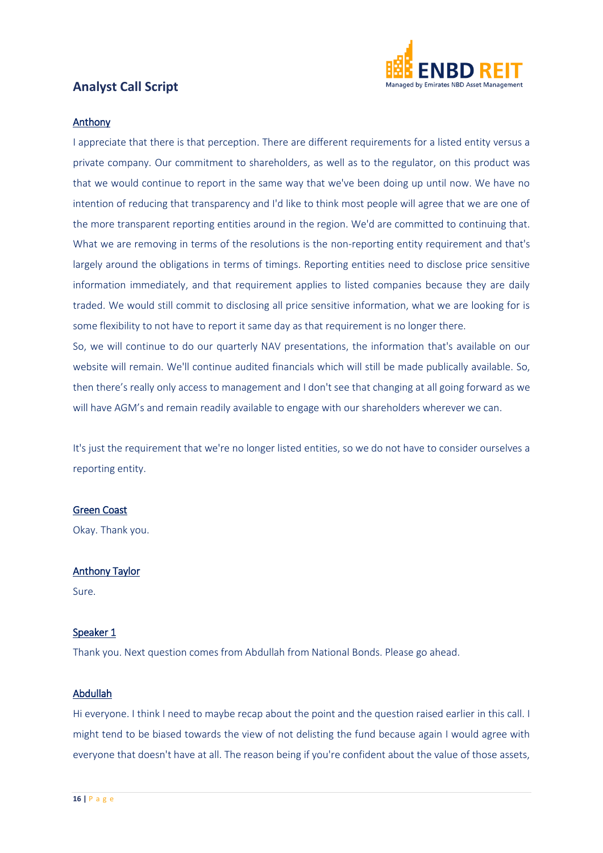

#### Anthony

I appreciate that there is that perception. There are different requirements for a listed entity versus a private company. Our commitment to shareholders, as well as to the regulator, on this product was that we would continue to report in the same way that we've been doing up until now. We have no intention of reducing that transparency and I'd like to think most people will agree that we are one of the more transparent reporting entities around in the region. We'd are committed to continuing that. What we are removing in terms of the resolutions is the non-reporting entity requirement and that's largely around the obligations in terms of timings. Reporting entities need to disclose price sensitive information immediately, and that requirement applies to listed companies because they are daily traded. We would still commit to disclosing all price sensitive information, what we are looking for is some flexibility to not have to report it same day as that requirement is no longer there.

So, we will continue to do our quarterly NAV presentations, the information that's available on our website will remain. We'll continue audited financials which will still be made publically available. So, then there's really only access to management and I don't see that changing at all going forward as we will have AGM's and remain readily available to engage with our shareholders wherever we can.

It's just the requirement that we're no longer listed entities, so we do not have to consider ourselves a reporting entity.

#### Green Coast

Okay. Thank you.

#### Anthony Taylor

Sure.

#### Speaker 1

Thank you. Next question comes from Abdullah from National Bonds. Please go ahead.

#### Abdullah

Hi everyone. I think I need to maybe recap about the point and the question raised earlier in this call. I might tend to be biased towards the view of not delisting the fund because again I would agree with everyone that doesn't have at all. The reason being if you're confident about the value of those assets,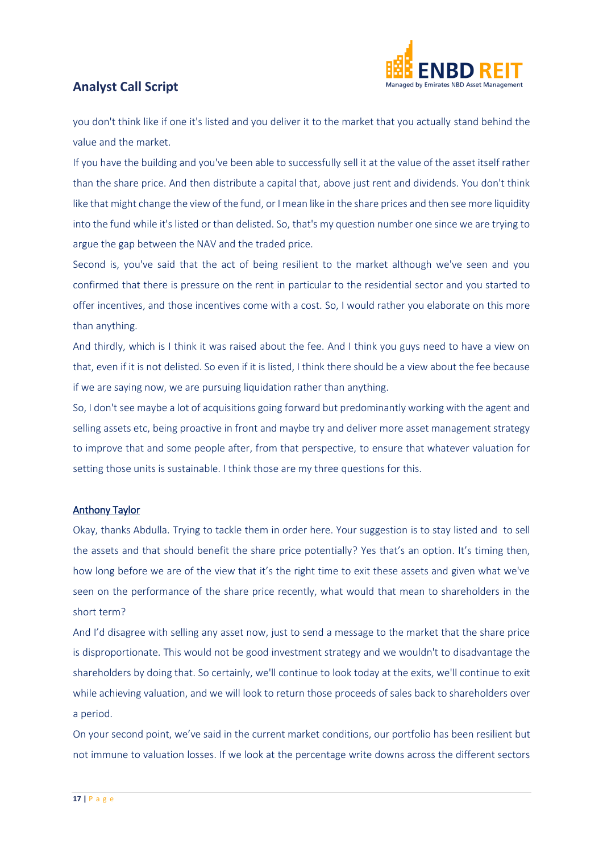

you don't think like if one it's listed and you deliver it to the market that you actually stand behind the value and the market.

If you have the building and you've been able to successfully sell it at the value of the asset itself rather than the share price. And then distribute a capital that, above just rent and dividends. You don't think like that might change the view of the fund, or I mean like in the share prices and then see more liquidity into the fund while it's listed or than delisted. So, that's my question number one since we are trying to argue the gap between the NAV and the traded price.

Second is, you've said that the act of being resilient to the market although we've seen and you confirmed that there is pressure on the rent in particular to the residential sector and you started to offer incentives, and those incentives come with a cost. So, I would rather you elaborate on this more than anything.

And thirdly, which is I think it was raised about the fee. And I think you guys need to have a view on that, even if it is not delisted. So even if it is listed, I think there should be a view about the fee because if we are saying now, we are pursuing liquidation rather than anything.

So, I don't see maybe a lot of acquisitions going forward but predominantly working with the agent and selling assets etc, being proactive in front and maybe try and deliver more asset management strategy to improve that and some people after, from that perspective, to ensure that whatever valuation for setting those units is sustainable. I think those are my three questions for this.

#### Anthony Taylor

Okay, thanks Abdulla. Trying to tackle them in order here. Your suggestion is to stay listed and to sell the assets and that should benefit the share price potentially? Yes that's an option. It's timing then, how long before we are of the view that it's the right time to exit these assets and given what we've seen on the performance of the share price recently, what would that mean to shareholders in the short term?

And I'd disagree with selling any asset now, just to send a message to the market that the share price is disproportionate. This would not be good investment strategy and we wouldn't to disadvantage the shareholders by doing that. So certainly, we'll continue to look today at the exits, we'll continue to exit while achieving valuation, and we will look to return those proceeds of sales back to shareholders over a period.

On your second point, we've said in the current market conditions, our portfolio has been resilient but not immune to valuation losses. If we look at the percentage write downs across the different sectors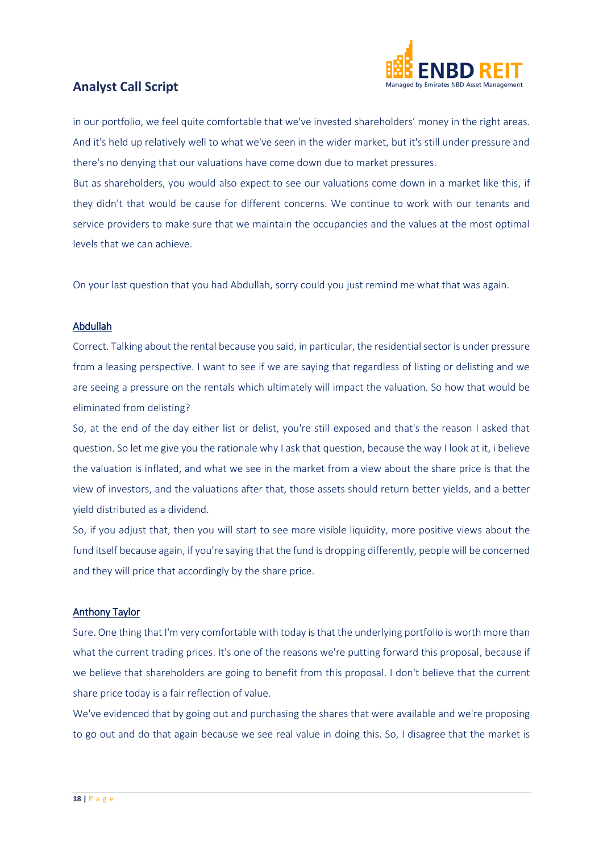

in our portfolio, we feel quite comfortable that we've invested shareholders' money in the right areas. And it's held up relatively well to what we've seen in the wider market, but it's still under pressure and there's no denying that our valuations have come down due to market pressures.

But as shareholders, you would also expect to see our valuations come down in a market like this, if they didn't that would be cause for different concerns. We continue to work with our tenants and service providers to make sure that we maintain the occupancies and the values at the most optimal levels that we can achieve.

On your last question that you had Abdullah, sorry could you just remind me what that was again.

#### Abdullah

Correct. Talking about the rental because you said, in particular, the residential sector is under pressure from a leasing perspective. I want to see if we are saying that regardless of listing or delisting and we are seeing a pressure on the rentals which ultimately will impact the valuation. So how that would be eliminated from delisting?

So, at the end of the day either list or delist, you're still exposed and that's the reason I asked that question. So let me give you the rationale why I ask that question, because the way I look at it, i believe the valuation is inflated, and what we see in the market from a view about the share price is that the view of investors, and the valuations after that, those assets should return better yields, and a better yield distributed as a dividend.

So, if you adjust that, then you will start to see more visible liquidity, more positive views about the fund itself because again, if you're saying that the fund is dropping differently, people will be concerned and they will price that accordingly by the share price.

#### Anthony Taylor

Sure. One thing that I'm very comfortable with today is that the underlying portfolio is worth more than what the current trading prices. It's one of the reasons we're putting forward this proposal, because if we believe that shareholders are going to benefit from this proposal. I don't believe that the current share price today is a fair reflection of value.

We've evidenced that by going out and purchasing the shares that were available and we're proposing to go out and do that again because we see real value in doing this. So, I disagree that the market is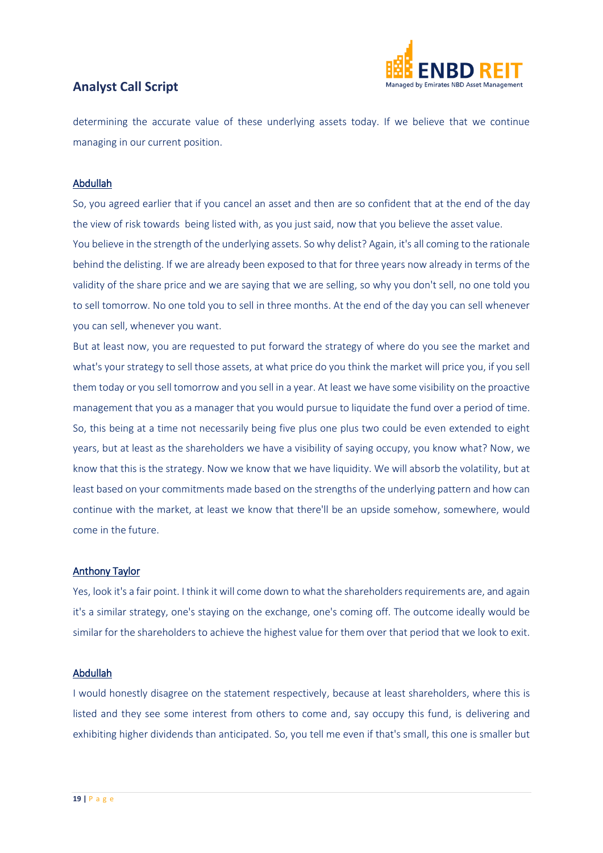

determining the accurate value of these underlying assets today. If we believe that we continue managing in our current position.

#### Abdullah

So, you agreed earlier that if you cancel an asset and then are so confident that at the end of the day the view of risk towards being listed with, as you just said, now that you believe the asset value. You believe in the strength of the underlying assets. So why delist? Again, it's all coming to the rationale behind the delisting. If we are already been exposed to that for three years now already in terms of the validity of the share price and we are saying that we are selling, so why you don't sell, no one told you to sell tomorrow. No one told you to sell in three months. At the end of the day you can sell whenever you can sell, whenever you want.

But at least now, you are requested to put forward the strategy of where do you see the market and what's your strategy to sell those assets, at what price do you think the market will price you, if you sell them today or you sell tomorrow and you sell in a year. At least we have some visibility on the proactive management that you as a manager that you would pursue to liquidate the fund over a period of time. So, this being at a time not necessarily being five plus one plus two could be even extended to eight years, but at least as the shareholders we have a visibility of saying occupy, you know what? Now, we know that this is the strategy. Now we know that we have liquidity. We will absorb the volatility, but at least based on your commitments made based on the strengths of the underlying pattern and how can continue with the market, at least we know that there'll be an upside somehow, somewhere, would come in the future.

#### Anthony Taylor

Yes, look it's a fair point. I think it will come down to what the shareholders requirements are, and again it's a similar strategy, one's staying on the exchange, one's coming off. The outcome ideally would be similar for the shareholders to achieve the highest value for them over that period that we look to exit.

#### Abdullah

I would honestly disagree on the statement respectively, because at least shareholders, where this is listed and they see some interest from others to come and, say occupy this fund, is delivering and exhibiting higher dividends than anticipated. So, you tell me even if that's small, this one is smaller but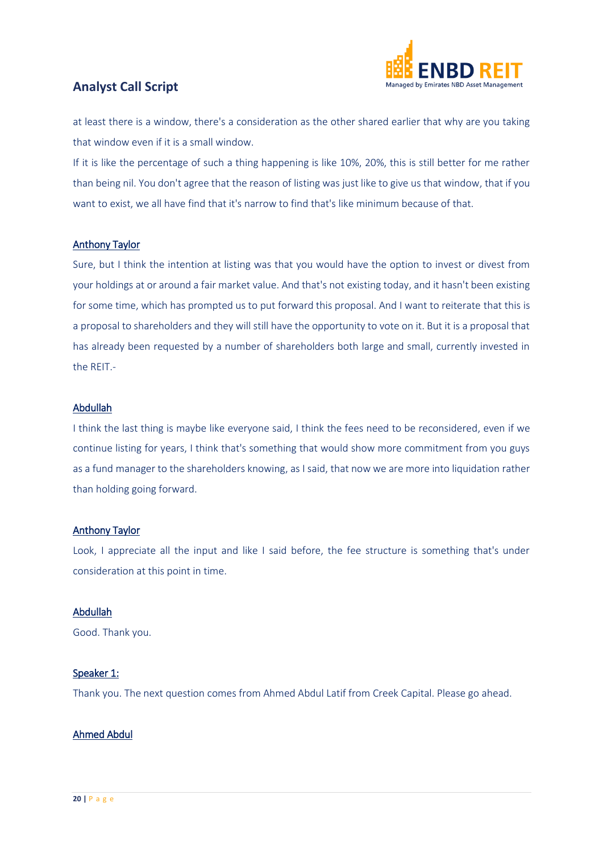

at least there is a window, there's a consideration as the other shared earlier that why are you taking that window even if it is a small window.

If it is like the percentage of such a thing happening is like 10%, 20%, this is still better for me rather than being nil. You don't agree that the reason of listing was just like to give us that window, that if you want to exist, we all have find that it's narrow to find that's like minimum because of that.

#### Anthony Taylor

Sure, but I think the intention at listing was that you would have the option to invest or divest from your holdings at or around a fair market value. And that's not existing today, and it hasn't been existing for some time, which has prompted us to put forward this proposal. And I want to reiterate that this is a proposal to shareholders and they will still have the opportunity to vote on it. But it is a proposal that has already been requested by a number of shareholders both large and small, currently invested in the REIT.-

#### Abdullah

I think the last thing is maybe like everyone said, I think the fees need to be reconsidered, even if we continue listing for years, I think that's something that would show more commitment from you guys as a fund manager to the shareholders knowing, as I said, that now we are more into liquidation rather than holding going forward.

#### Anthony Taylor

Look, I appreciate all the input and like I said before, the fee structure is something that's under consideration at this point in time.

#### Abdullah

Good. Thank you.

#### Speaker 1:

Thank you. The next question comes from Ahmed Abdul Latif from Creek Capital. Please go ahead.

#### Ahmed Abdul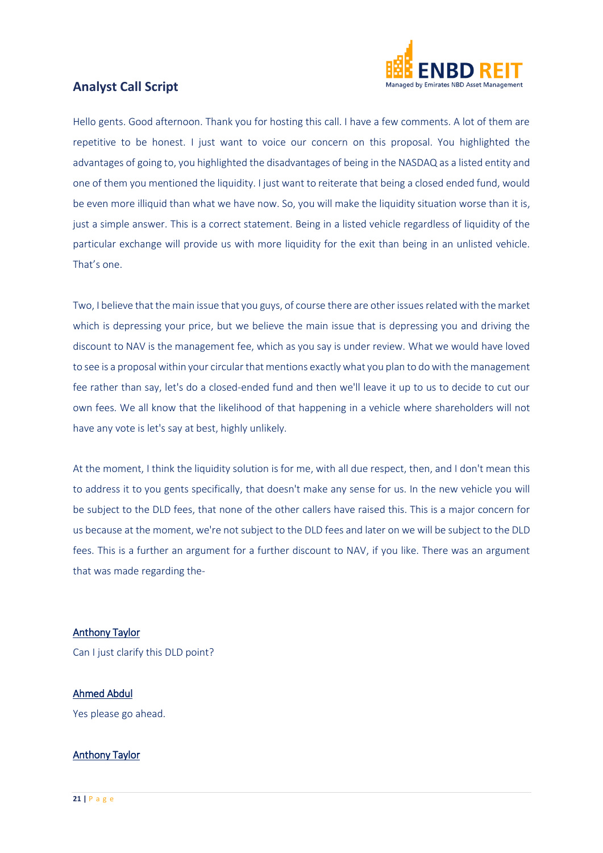

Hello gents. Good afternoon. Thank you for hosting this call. I have a few comments. A lot of them are repetitive to be honest. I just want to voice our concern on this proposal. You highlighted the advantages of going to, you highlighted the disadvantages of being in the NASDAQ as a listed entity and one of them you mentioned the liquidity. I just want to reiterate that being a closed ended fund, would be even more illiquid than what we have now. So, you will make the liquidity situation worse than it is, just a simple answer. This is a correct statement. Being in a listed vehicle regardless of liquidity of the particular exchange will provide us with more liquidity for the exit than being in an unlisted vehicle. That's one.

Two, I believe that the main issue that you guys, of course there are other issues related with the market which is depressing your price, but we believe the main issue that is depressing you and driving the discount to NAV is the management fee, which as you say is under review. What we would have loved to see is a proposal within your circular that mentions exactly what you plan to do with the management fee rather than say, let's do a closed-ended fund and then we'll leave it up to us to decide to cut our own fees. We all know that the likelihood of that happening in a vehicle where shareholders will not have any vote is let's say at best, highly unlikely.

At the moment, I think the liquidity solution is for me, with all due respect, then, and I don't mean this to address it to you gents specifically, that doesn't make any sense for us. In the new vehicle you will be subject to the DLD fees, that none of the other callers have raised this. This is a major concern for us because at the moment, we're not subject to the DLD fees and later on we will be subject to the DLD fees. This is a further an argument for a further discount to NAV, if you like. There was an argument that was made regarding the-

#### Anthony Taylor

Can I just clarify this DLD point?

#### Ahmed Abdul

Yes please go ahead.

#### Anthony Taylor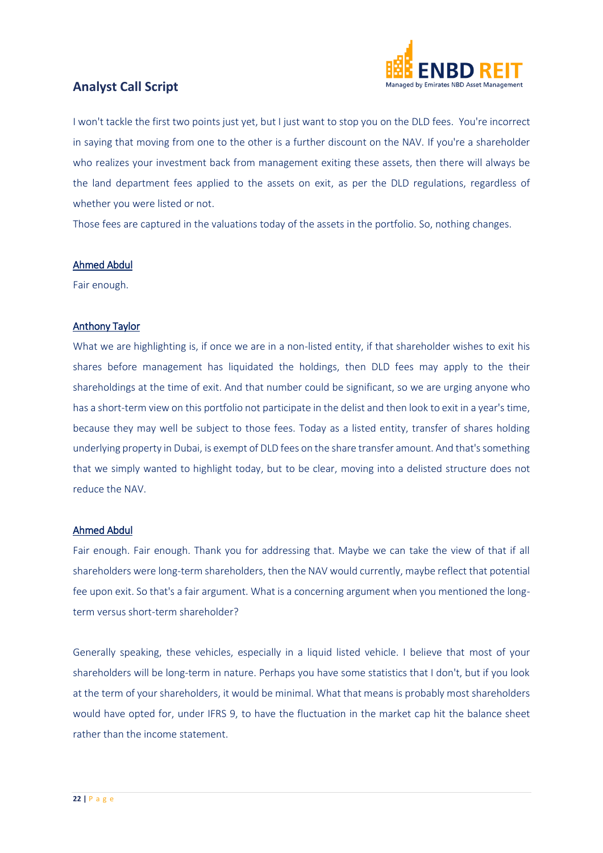

I won't tackle the first two points just yet, but I just want to stop you on the DLD fees. You're incorrect in saying that moving from one to the other is a further discount on the NAV. If you're a shareholder who realizes your investment back from management exiting these assets, then there will always be the land department fees applied to the assets on exit, as per the DLD regulations, regardless of whether you were listed or not.

Those fees are captured in the valuations today of the assets in the portfolio. So, nothing changes.

#### Ahmed Abdul

Fair enough.

#### Anthony Taylor

What we are highlighting is, if once we are in a non-listed entity, if that shareholder wishes to exit his shares before management has liquidated the holdings, then DLD fees may apply to the their shareholdings at the time of exit. And that number could be significant, so we are urging anyone who has a short-term view on this portfolio not participate in the delist and then look to exit in a year's time, because they may well be subject to those fees. Today as a listed entity, transfer of shares holding underlying property in Dubai, is exempt of DLD fees on the share transfer amount. And that's something that we simply wanted to highlight today, but to be clear, moving into a delisted structure does not reduce the NAV.

#### Ahmed Abdul

Fair enough. Fair enough. Thank you for addressing that. Maybe we can take the view of that if all shareholders were long-term shareholders, then the NAV would currently, maybe reflect that potential fee upon exit. So that's a fair argument. What is a concerning argument when you mentioned the longterm versus short-term shareholder?

Generally speaking, these vehicles, especially in a liquid listed vehicle. I believe that most of your shareholders will be long-term in nature. Perhaps you have some statistics that I don't, but if you look at the term of your shareholders, it would be minimal. What that means is probably most shareholders would have opted for, under IFRS 9, to have the fluctuation in the market cap hit the balance sheet rather than the income statement.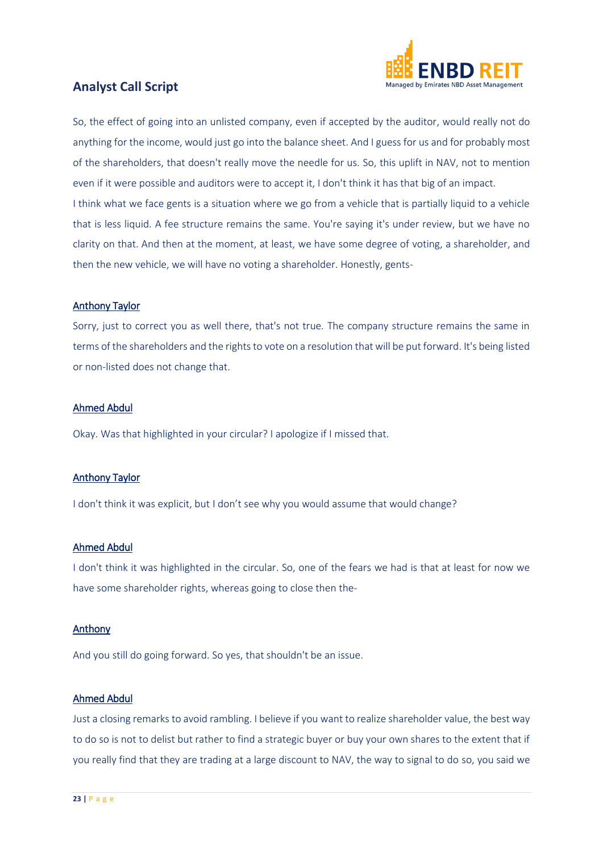

So, the effect of going into an unlisted company, even if accepted by the auditor, would really not do anything for the income, would just go into the balance sheet. And I guess for us and for probably most of the shareholders, that doesn't really move the needle for us. So, this uplift in NAV, not to mention even if it were possible and auditors were to accept it, I don't think it has that big of an impact. I think what we face gents is a situation where we go from a vehicle that is partially liquid to a vehicle that is less liquid. A fee structure remains the same. You're saying it's under review, but we have no clarity on that. And then at the moment, at least, we have some degree of voting, a shareholder, and then the new vehicle, we will have no voting a shareholder. Honestly, gents-

#### Anthony Taylor

Sorry, just to correct you as well there, that's not true. The company structure remains the same in terms of the shareholders and the rights to vote on a resolution that will be put forward. It's being listed or non-listed does not change that.

#### Ahmed Abdul

Okay. Was that highlighted in your circular? I apologize if I missed that.

#### Anthony Taylor

I don't think it was explicit, but I don't see why you would assume that would change?

#### Ahmed Abdul

I don't think it was highlighted in the circular. So, one of the fears we had is that at least for now we have some shareholder rights, whereas going to close then the-

#### Anthony

And you still do going forward. So yes, that shouldn't be an issue.

#### Ahmed Abdul

Just a closing remarks to avoid rambling. I believe if you want to realize shareholder value, the best way to do so is not to delist but rather to find a strategic buyer or buy your own shares to the extent that if you really find that they are trading at a large discount to NAV, the way to signal to do so, you said we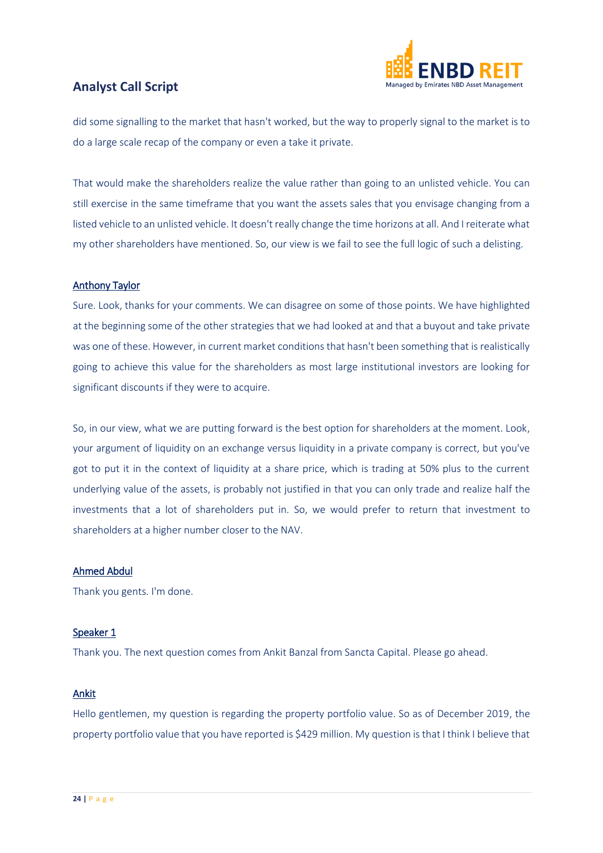

did some signalling to the market that hasn't worked, but the way to properly signal to the market is to do a large scale recap of the company or even a take it private.

That would make the shareholders realize the value rather than going to an unlisted vehicle. You can still exercise in the same timeframe that you want the assets sales that you envisage changing from a listed vehicle to an unlisted vehicle. It doesn't really change the time horizons at all. And I reiterate what my other shareholders have mentioned. So, our view is we fail to see the full logic of such a delisting.

#### Anthony Taylor

Sure. Look, thanks for your comments. We can disagree on some of those points. We have highlighted at the beginning some of the other strategies that we had looked at and that a buyout and take private was one of these. However, in current market conditions that hasn't been something that is realistically going to achieve this value for the shareholders as most large institutional investors are looking for significant discounts if they were to acquire.

So, in our view, what we are putting forward is the best option for shareholders at the moment. Look, your argument of liquidity on an exchange versus liquidity in a private company is correct, but you've got to put it in the context of liquidity at a share price, which is trading at 50% plus to the current underlying value of the assets, is probably not justified in that you can only trade and realize half the investments that a lot of shareholders put in. So, we would prefer to return that investment to shareholders at a higher number closer to the NAV.

#### Ahmed Abdul

Thank you gents. I'm done.

#### Speaker 1

Thank you. The next question comes from Ankit Banzal from Sancta Capital. Please go ahead.

#### Ankit

Hello gentlemen, my question is regarding the property portfolio value. So as of December 2019, the property portfolio value that you have reported is \$429 million. My question is that I think I believe that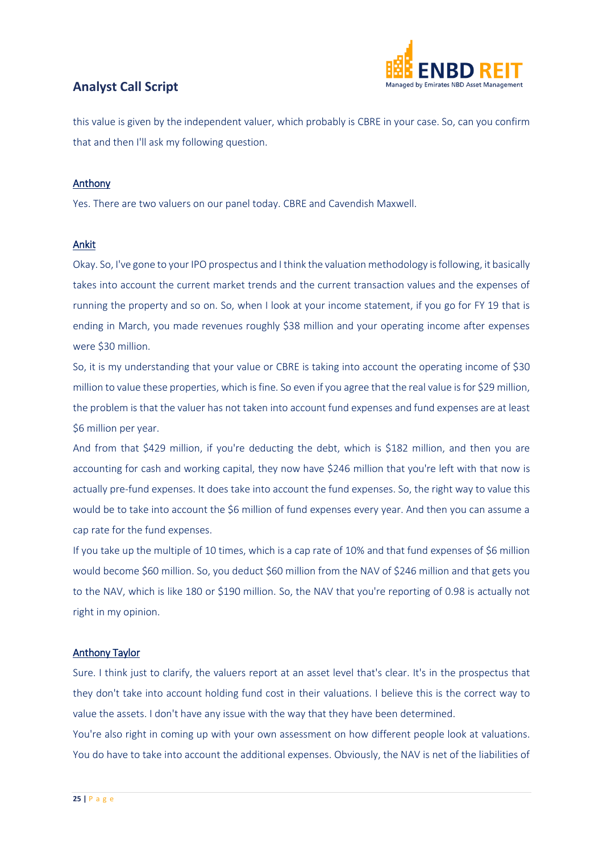



this value is given by the independent valuer, which probably is CBRE in your case. So, can you confirm that and then I'll ask my following question.

#### Anthony

Yes. There are two valuers on our panel today. CBRE and Cavendish Maxwell.

#### Ankit

Okay. So, I've gone to your IPO prospectus and I think the valuation methodology is following, it basically takes into account the current market trends and the current transaction values and the expenses of running the property and so on. So, when I look at your income statement, if you go for FY 19 that is ending in March, you made revenues roughly \$38 million and your operating income after expenses were \$30 million.

So, it is my understanding that your value or CBRE is taking into account the operating income of \$30 million to value these properties, which is fine. So even if you agree that the real value is for \$29 million, the problem is that the valuer has not taken into account fund expenses and fund expenses are at least \$6 million per year.

And from that \$429 million, if you're deducting the debt, which is \$182 million, and then you are accounting for cash and working capital, they now have \$246 million that you're left with that now is actually pre-fund expenses. It does take into account the fund expenses. So, the right way to value this would be to take into account the \$6 million of fund expenses every year. And then you can assume a cap rate for the fund expenses.

If you take up the multiple of 10 times, which is a cap rate of 10% and that fund expenses of \$6 million would become \$60 million. So, you deduct \$60 million from the NAV of \$246 million and that gets you to the NAV, which is like 180 or \$190 million. So, the NAV that you're reporting of 0.98 is actually not right in my opinion.

#### Anthony Taylor

Sure. I think just to clarify, the valuers report at an asset level that's clear. It's in the prospectus that they don't take into account holding fund cost in their valuations. I believe this is the correct way to value the assets. I don't have any issue with the way that they have been determined.

You're also right in coming up with your own assessment on how different people look at valuations. You do have to take into account the additional expenses. Obviously, the NAV is net of the liabilities of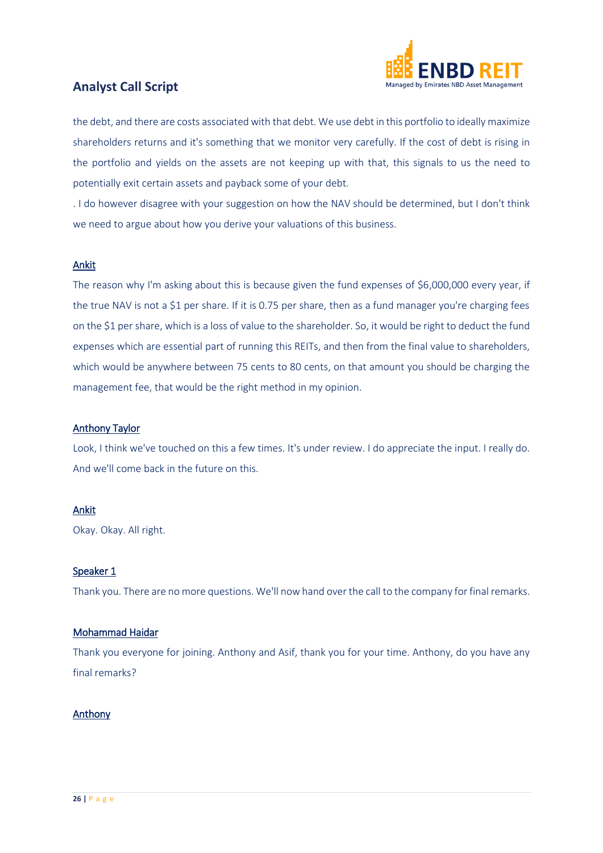

the debt, and there are costs associated with that debt. We use debt in this portfolio to ideally maximize shareholders returns and it's something that we monitor very carefully. If the cost of debt is rising in the portfolio and yields on the assets are not keeping up with that, this signals to us the need to potentially exit certain assets and payback some of your debt.

. I do however disagree with your suggestion on how the NAV should be determined, but I don't think we need to argue about how you derive your valuations of this business.

#### Ankit

The reason why I'm asking about this is because given the fund expenses of \$6,000,000 every year, if the true NAV is not a \$1 per share. If it is 0.75 per share, then as a fund manager you're charging fees on the \$1 per share, which is a loss of value to the shareholder. So, it would be right to deduct the fund expenses which are essential part of running this REITs, and then from the final value to shareholders, which would be anywhere between 75 cents to 80 cents, on that amount you should be charging the management fee, that would be the right method in my opinion.

#### Anthony Taylor

Look, I think we've touched on this a few times. It's under review. I do appreciate the input. I really do. And we'll come back in the future on this.

#### Ankit

Okay. Okay. All right.

#### Speaker 1

Thank you. There are no more questions. We'll now hand over the call to the company for final remarks.

#### Mohammad Haidar

Thank you everyone for joining. Anthony and Asif, thank you for your time. Anthony, do you have any final remarks?

#### Anthony